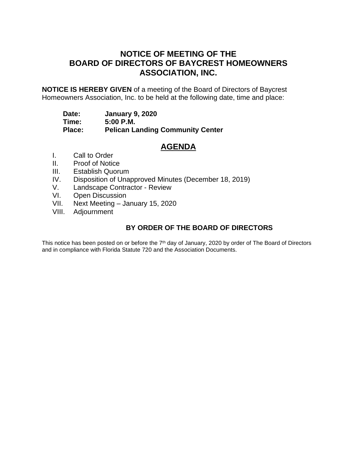# **NOTICE OF MEETING OF THE BOARD OF DIRECTORS OF BAYCREST HOMEOWNERS ASSOCIATION, INC.**

**NOTICE IS HEREBY GIVEN** of a meeting of the Board of Directors of Baycrest Homeowners Association, Inc. to be held at the following date, time and place:

**Date: January 9, 2020**

**Time: 5:00 P.M.**

**Pelican Landing Community Center** 

# **AGENDA**

- I. Call to Order
- II. Proof of Notice
- III. Establish Quorum
- IV. Disposition of Unapproved Minutes (December 18, 2019)
- V. Landscape Contractor Review
- VI. Open Discussion<br>VII. Next Meeting Ja
- Next Meeting January 15, 2020
- VIII. Adjournment

# **BY ORDER OF THE BOARD OF DIRECTORS**

This notice has been posted on or before the 7<sup>th</sup> day of January, 2020 by order of The Board of Directors and in compliance with Florida Statute 720 and the Association Documents.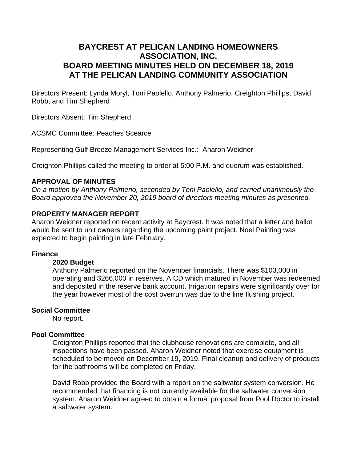# **BAYCREST AT PELICAN LANDING HOMEOWNERS ASSOCIATION, INC. BOARD MEETING MINUTES HELD ON DECEMBER 18, 2019 AT THE PELICAN LANDING COMMUNITY ASSOCIATION**

Directors Present: Lynda Moryl, Toni Paolello, Anthony Palmerio, Creighton Phillips, David Robb, and Tim Shepherd

Directors Absent: Tim Shepherd

ACSMC Committee: Peaches Scearce

Representing Gulf Breeze Management Services Inc.: Aharon Weidner

Creighton Phillips called the meeting to order at 5:00 P.M. and quorum was established.

### **APPROVAL OF MINUTES**

*On a motion by Anthony Palmerio, seconded by Toni Paolello, and carried unanimously the Board approved the November 20, 2019 board of directors meeting minutes as presented.*

### **PROPERTY MANAGER REPORT**

Aharon Weidner reported on recent activity at Baycrest. It was noted that a letter and ballot would be sent to unit owners regarding the upcoming paint project. Noel Painting was expected to begin painting in late February.

#### **Finance**

#### **2020 Budget**

Anthony Palmerio reported on the November financials. There was \$103,000 in operating and \$266,000 in reserves. A CD which matured in November was redeemed and deposited in the reserve bank account. Irrigation repairs were significantly over for the year however most of the cost overrun was due to the line flushing project.

#### **Social Committee**

No report.

### **Pool Committee**

Creighton Phillips reported that the clubhouse renovations are complete, and all inspections have been passed. Aharon Weidner noted that exercise equipment is scheduled to be moved on December 19, 2019. Final cleanup and delivery of products for the bathrooms will be completed on Friday.

David Robb provided the Board with a report on the saltwater system conversion. He recommended that financing is not currently available for the saltwater conversion system. Aharon Weidner agreed to obtain a formal proposal from Pool Doctor to install a saltwater system.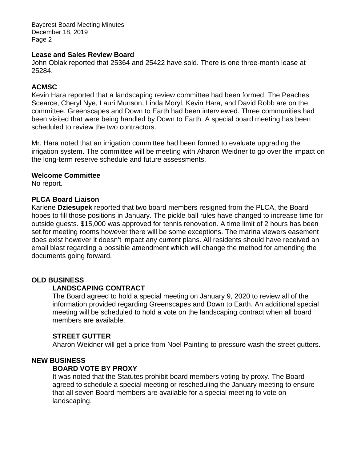Baycrest Board Meeting Minutes December 18, 2019 Page 2

### **Lease and Sales Review Board**

John Oblak reported that 25364 and 25422 have sold. There is one three-month lease at 25284.

## **ACMSC**

Kevin Hara reported that a landscaping review committee had been formed. The Peaches Scearce, Cheryl Nye, Lauri Munson, Linda Moryl, Kevin Hara, and David Robb are on the committee. Greenscapes and Down to Earth had been interviewed. Three communities had been visited that were being handled by Down to Earth. A special board meeting has been scheduled to review the two contractors.

Mr. Hara noted that an irrigation committee had been formed to evaluate upgrading the irrigation system. The committee will be meeting with Aharon Weidner to go over the impact on the long-term reserve schedule and future assessments.

### **Welcome Committee**

No report.

### **PLCA Board Liaison**

Karlene **Dziesupek** reported that two board members resigned from the PLCA, the Board hopes to fill those positions in January. The pickle ball rules have changed to increase time for outside guests. \$15,000 was approved for tennis renovation. A time limit of 2 hours has been set for meeting rooms however there will be some exceptions. The marina viewers easement does exist however it doesn't impact any current plans. All residents should have received an email blast regarding a possible amendment which will change the method for amending the documents going forward.

## **OLD BUSINESS**

### **LANDSCAPING CONTRACT**

The Board agreed to hold a special meeting on January 9, 2020 to review all of the information provided regarding Greenscapes and Down to Earth. An additional special meeting will be scheduled to hold a vote on the landscaping contract when all board members are available.

### **STREET GUTTER**

Aharon Weidner will get a price from Noel Painting to pressure wash the street gutters.

# **NEW BUSINESS**

### **BOARD VOTE BY PROXY**

It was noted that the Statutes prohibit board members voting by proxy. The Board agreed to schedule a special meeting or rescheduling the January meeting to ensure that all seven Board members are available for a special meeting to vote on landscaping.